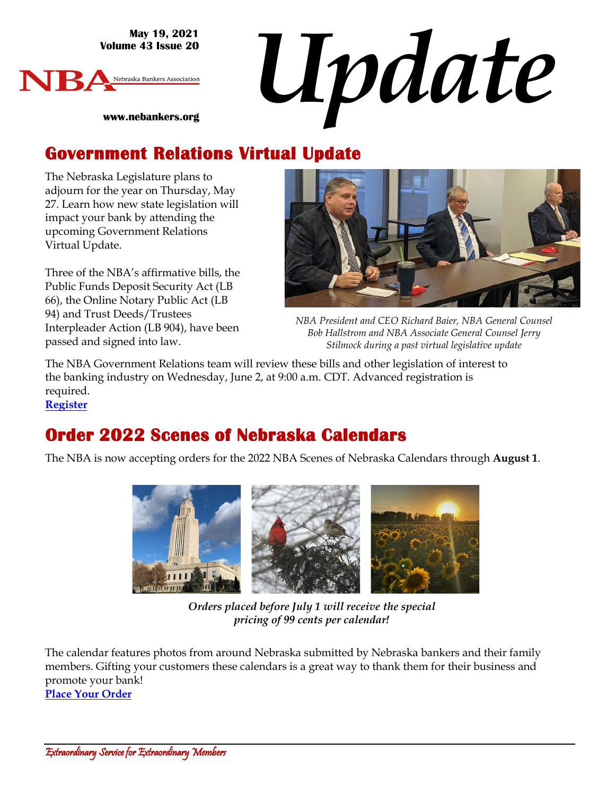**May 19, 2021 Volume 43 Issue 20**



*Update*

**www.nebankers.org**

#### **Government Relations Virtual Update**

The Nebraska Legislature plans to adjourn for the year on Thursday, May 27. Learn how new state legislation will impact your bank by attending the upcoming Government Relations Virtual Update.

Three of the NBA's affirmative bills, the Public Funds Deposit Security Act (LB 66), the Online Notary Public Act (LB 94) and Trust Deeds/Trustees Interpleader Action (LB 904), have been passed and signed into law.



*NBA President and CEO Richard Baier, NBA General Counsel Bob Hallstrom and NBA Associate General Counsel Jerry Stilmock during a past virtual legislative update*

The NBA Government Relations team will review these bills and other legislation of interest to the banking industry on Wednesday, June 2, at 9:00 a.m. CDT. Advanced registration is required.

**[Register](https://us02web.zoom.us/j/84333727213?pwd=SEpCa3F6OWh2N3kzaFlmRVFmYXBCUT09)**

#### **Order 2022 Scenes of Nebraska Calendars**

The NBA is now accepting orders for the 2022 NBA Scenes of Nebraska Calendars through **August 1**.



*Orders placed before July 1 will receive the special pricing of 99 cents per calendar!*

The calendar features photos from around Nebraska submitted by Nebraska bankers and their family members. Gifting your customers these calendars is a great way to thank them for their business and promote your bank! **[Place Your Order](https://www.nebankers.org/calendars.html)**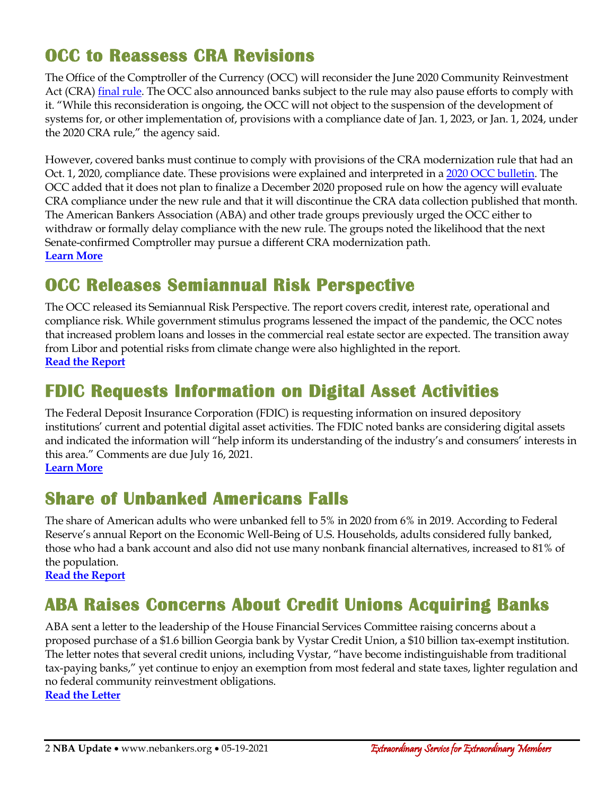## **OCC to Reassess CRA Revisions**

The Office of the Comptroller of the Currency (OCC) will reconsider the June 2020 Community Reinvestment Act (CRA[\) final rule.](https://occ.gov/news-issuances/federal-register/2020/85fr34734.pdf) The OCC also announced banks subject to the rule may also pause efforts to comply with it. "While this reconsideration is ongoing, the OCC will not object to the suspension of the development of systems for, or other implementation of, provisions with a compliance date of Jan. 1, 2023, or Jan. 1, 2024, under the 2020 CRA rule," the agency said.

However, covered banks must continue to comply with provisions of the CRA modernization rule that had an Oct. 1, 2020, compliance date. These provisions were explained and interpreted in [a 2020 OCC bulletin.](https://occ.gov/news-issuances/bulletins/2020/bulletin-2020-99.html) The OCC added that it does not plan to finalize a December 2020 proposed rule on how the agency will evaluate CRA compliance under the new rule and that it will discontinue the CRA data collection published that month. The American Bankers Association (ABA) and other trade groups previously urged the OCC either to withdraw or formally delay compliance with the new rule. The groups noted the likelihood that the next Senate-confirmed Comptroller may pursue a different CRA modernization path. **[Learn More](https://occ.gov/news-issuances/bulletins/2021/bulletin-2021-24.html)**

#### **OCC Releases Semiannual Risk Perspective**

The OCC released its Semiannual Risk Perspective. The report covers credit, interest rate, operational and compliance risk. While government stimulus programs lessened the impact of the pandemic, the OCC notes that increased problem loans and losses in the commercial real estate sector are expected. The transition away from Libor and potential risks from climate change were also highlighted in the report. **[Read the Report](https://occ.gov/publications-and-resources/publications/semiannual-risk-perspective/files/pub-semiannual-risk-perspective-spring-2021.pdf)**

#### **FDIC Requests Information on Digital Asset Activities**

The Federal Deposit Insurance Corporation (FDIC) is requesting information on insured depository institutions' current and potential digital asset activities. The FDIC noted banks are considering digital assets and indicated the information will "help inform its understanding of the industry's and consumers' interests in this area." Comments are due July 16, 2021. **[Learn More](https://www.fdic.gov/news/press-releases/2021/pr21046.html)**

#### **Share of Unbanked Americans Falls**

The share of American adults who were unbanked fell to 5% in 2020 from 6% in 2019. According to Federal Reserve's annual Report on the Economic Well-Being of U.S. Households, adults considered fully banked, those who had a bank account and also did not use many nonbank financial alternatives, increased to 81% of the population.

**[Read the Report](https://www.federalreserve.gov/publications/report-economic-well-being-us-households.htm)**

## **ABA Raises Concerns About Credit Unions Acquiring Banks**

ABA sent a letter to the leadership of the House Financial Services Committee raising concerns about a proposed purchase of a \$1.6 billion Georgia bank by Vystar Credit Union, a \$10 billion tax-exempt institution. The letter notes that several credit unions, including Vystar, "have become indistinguishable from traditional tax-paying banks," yet continue to enjoy an exemption from most federal and state taxes, lighter regulation and no federal community reinvestment obligations. **[Read the Letter](https://www.aba.com/advocacy/policy-analysis/hfsc-sbc-vystar-credit-union-acquisition)**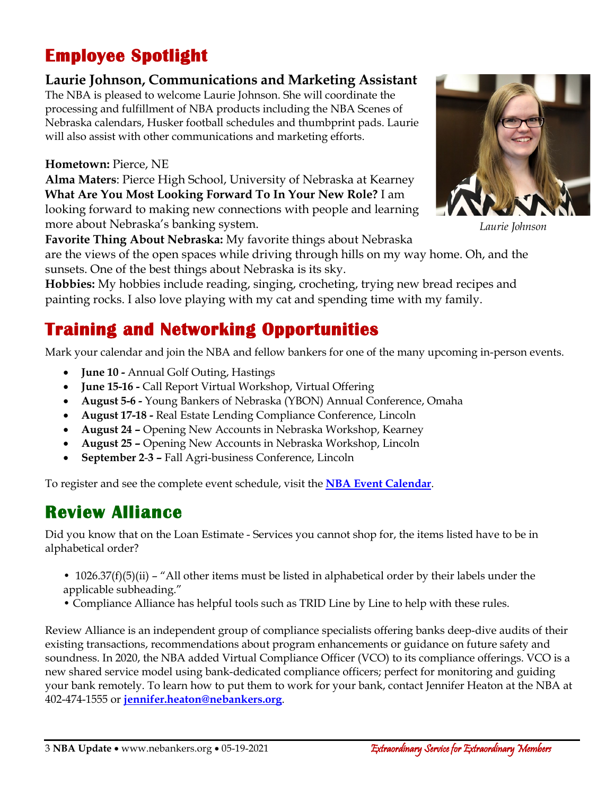## **Employee Spotlight**

#### **Laurie Johnson, Communications and Marketing Assistant**

The NBA is pleased to welcome Laurie Johnson. She will coordinate the processing and fulfillment of NBA products including the NBA Scenes of Nebraska calendars, Husker football schedules and thumbprint pads. Laurie will also assist with other communications and marketing efforts.

#### **Hometown:** Pierce, NE

**Alma Maters**: Pierce High School, University of Nebraska at Kearney **What Are You Most Looking Forward To In Your New Role?** I am looking forward to making new connections with people and learning more about Nebraska's banking system.



*Laurie Johnson*

**Favorite Thing About Nebraska:** My favorite things about Nebraska are the views of the open spaces while driving through hills on my way home. Oh, and the

sunsets. One of the best things about Nebraska is its sky.

**Hobbies:** My hobbies include reading, singing, crocheting, trying new bread recipes and painting rocks. I also love playing with my cat and spending time with my family.

## **Training and Networking Opportunities**

Mark your calendar and join the NBA and fellow bankers for one of the many upcoming in-person events.

- **June 10 -** Annual Golf Outing, Hastings
- **June 15-16 -** Call Report Virtual Workshop, Virtual Offering
- **August 5-6 -** Young Bankers of Nebraska (YBON) Annual Conference, Omaha
- **August 17-18 -** Real Estate Lending Compliance Conference, Lincoln
- **August 24 –** Opening New Accounts in Nebraska Workshop, Kearney
- **August 25 –** Opening New Accounts in Nebraska Workshop, Lincoln
- **September 2**-**3 –** Fall Agri-business Conference, Lincoln

To register and see the complete event schedule, visit the **[NBA Event Calendar](https://web.nebankers.org/events)**.

# **Review Alliance**

Did you know that on the Loan Estimate - Services you cannot shop for, the items listed have to be in alphabetical order?

- 1026.37(f)(5)(ii) "All other items must be listed in alphabetical order by their labels under the applicable subheading."
- Compliance Alliance has helpful tools such as TRID Line by Line to help with these rules.

Review Alliance is an independent group of compliance specialists offering banks deep-dive audits of their existing transactions, recommendations about program enhancements or guidance on future safety and soundness. In 2020, the NBA added Virtual Compliance Officer (VCO) to its compliance offerings. VCO is a new shared service model using bank-dedicated compliance officers; perfect for monitoring and guiding your bank remotely. To learn how to put them to work for your bank, contact Jennifer Heaton at the NBA at 402-474-1555 or **[jennifer.heaton@nebankers.org](mailto:jennifer.heaton@nebankers.org)**.